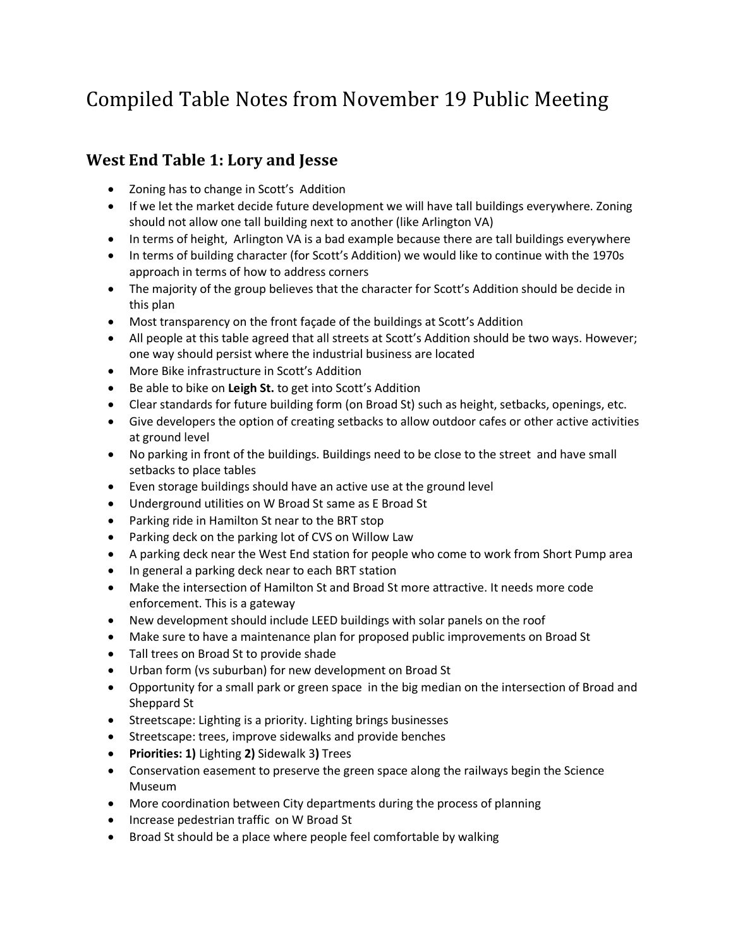# Compiled Table Notes from November 19 Public Meeting

# **West End Table 1: Lory and Jesse**

- Zoning has to change in Scott's Addition
- If we let the market decide future development we will have tall buildings everywhere. Zoning should not allow one tall building next to another (like Arlington VA)
- In terms of height, Arlington VA is a bad example because there are tall buildings everywhere
- In terms of building character (for Scott's Addition) we would like to continue with the 1970s approach in terms of how to address corners
- The majority of the group believes that the character for Scott's Addition should be decide in this plan
- Most transparency on the front façade of the buildings at Scott's Addition
- All people at this table agreed that all streets at Scott's Addition should be two ways. However; one way should persist where the industrial business are located
- More Bike infrastructure in Scott's Addition
- Be able to bike on **Leigh St.** to get into Scott's Addition
- Clear standards for future building form (on Broad St) such as height, setbacks, openings, etc.
- Give developers the option of creating setbacks to allow outdoor cafes or other active activities at ground level
- No parking in front of the buildings. Buildings need to be close to the street and have small setbacks to place tables
- Even storage buildings should have an active use at the ground level
- Underground utilities on W Broad St same as E Broad St
- Parking ride in Hamilton St near to the BRT stop
- Parking deck on the parking lot of CVS on Willow Law
- A parking deck near the West End station for people who come to work from Short Pump area
- In general a parking deck near to each BRT station
- Make the intersection of Hamilton St and Broad St more attractive. It needs more code enforcement. This is a gateway
- New development should include LEED buildings with solar panels on the roof
- Make sure to have a maintenance plan for proposed public improvements on Broad St
- Tall trees on Broad St to provide shade
- Urban form (vs suburban) for new development on Broad St
- Opportunity for a small park or green space in the big median on the intersection of Broad and Sheppard St
- Streetscape: Lighting is a priority. Lighting brings businesses
- **•** Streetscape: trees, improve sidewalks and provide benches
- **Priorities: 1)** Lighting **2)** Sidewalk 3**)** Trees
- Conservation easement to preserve the green space along the railways begin the Science Museum
- More coordination between City departments during the process of planning
- Increase pedestrian traffic on W Broad St
- Broad St should be a place where people feel comfortable by walking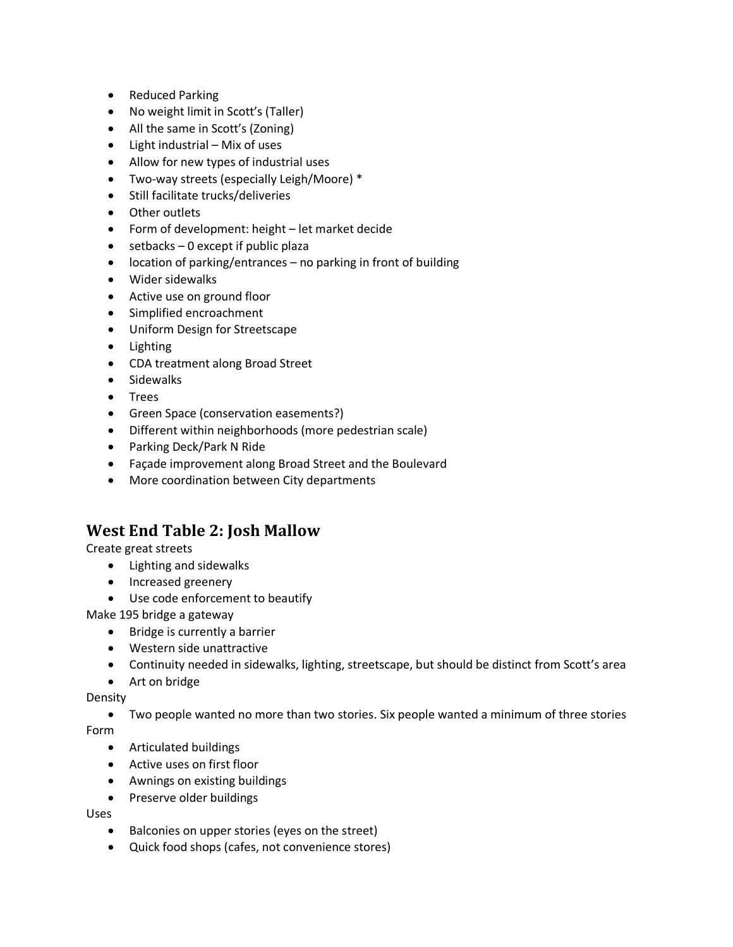- Reduced Parking
- No weight limit in Scott's (Taller)
- All the same in Scott's (Zoning)
- $\bullet$  Light industrial Mix of uses
- Allow for new types of industrial uses
- Two-way streets (especially Leigh/Moore) \*
- Still facilitate trucks/deliveries
- Other outlets
- Form of development: height let market decide
- $\bullet$  setbacks 0 except if public plaza
- location of parking/entrances no parking in front of building
- Wider sidewalks
- Active use on ground floor
- Simplified encroachment
- Uniform Design for Streetscape
- Lighting
- CDA treatment along Broad Street
- Sidewalks
- Trees
- Green Space (conservation easements?)
- Different within neighborhoods (more pedestrian scale)
- Parking Deck/Park N Ride
- Façade improvement along Broad Street and the Boulevard
- More coordination between City departments

### **West End Table 2: Josh Mallow**

Create great streets

- Lighting and sidewalks
- Increased greenery
- Use code enforcement to beautify

Make 195 bridge a gateway

- Bridge is currently a barrier
- Western side unattractive
- Continuity needed in sidewalks, lighting, streetscape, but should be distinct from Scott's area
- Art on bridge

Density

 Two people wanted no more than two stories. Six people wanted a minimum of three stories Form

- Articulated buildings
- Active uses on first floor
- Awnings on existing buildings
- Preserve older buildings

Uses

- Balconies on upper stories (eyes on the street)
- Quick food shops (cafes, not convenience stores)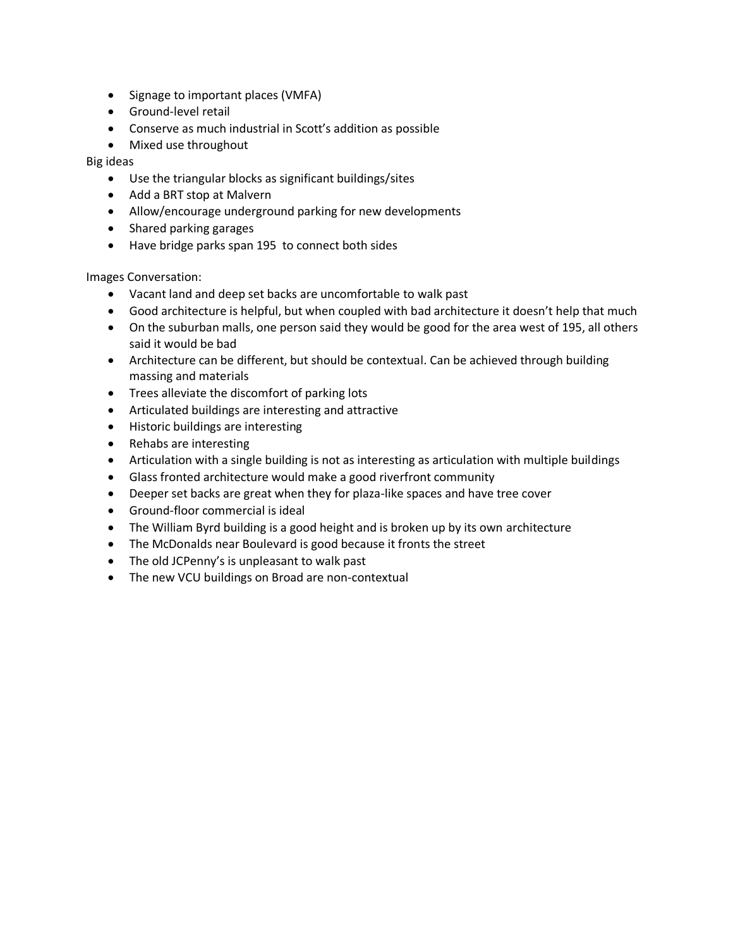- Signage to important places (VMFA)
- Ground-level retail
- Conserve as much industrial in Scott's addition as possible
- Mixed use throughout

Big ideas

- Use the triangular blocks as significant buildings/sites
- Add a BRT stop at Malvern
- Allow/encourage underground parking for new developments
- Shared parking garages
- Have bridge parks span 195 to connect both sides

Images Conversation:

- Vacant land and deep set backs are uncomfortable to walk past
- Good architecture is helpful, but when coupled with bad architecture it doesn't help that much
- On the suburban malls, one person said they would be good for the area west of 195, all others said it would be bad
- Architecture can be different, but should be contextual. Can be achieved through building massing and materials
- Trees alleviate the discomfort of parking lots
- Articulated buildings are interesting and attractive
- Historic buildings are interesting
- Rehabs are interesting
- Articulation with a single building is not as interesting as articulation with multiple buildings
- Glass fronted architecture would make a good riverfront community
- Deeper set backs are great when they for plaza-like spaces and have tree cover
- Ground-floor commercial is ideal
- The William Byrd building is a good height and is broken up by its own architecture
- The McDonalds near Boulevard is good because it fronts the street
- The old JCPenny's is unpleasant to walk past
- The new VCU buildings on Broad are non-contextual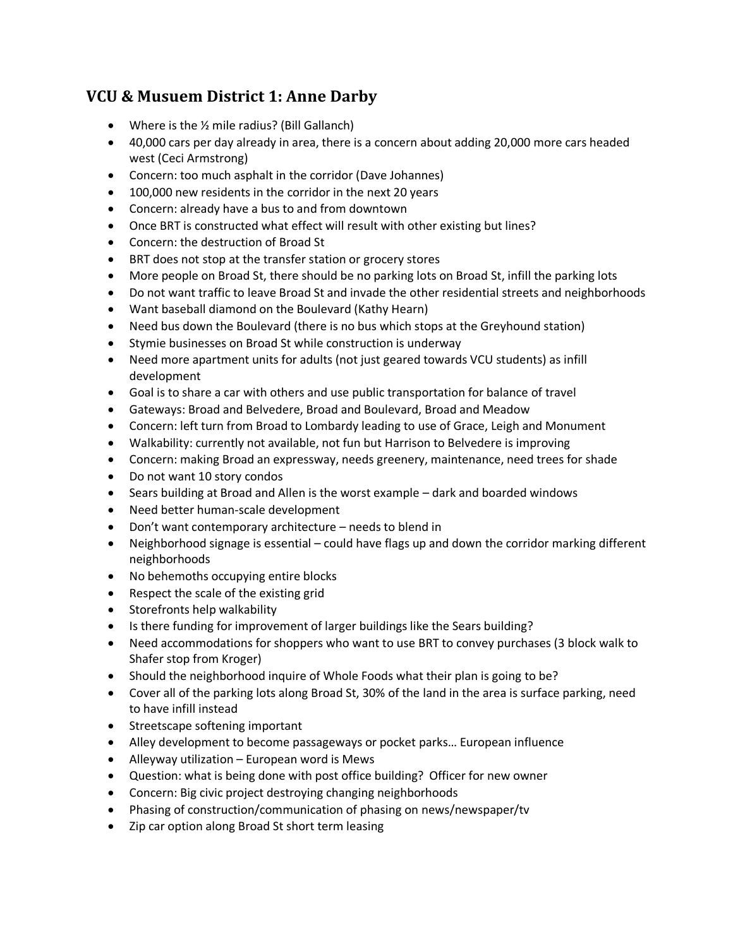# **VCU & Musuem District 1: Anne Darby**

- Where is the 1/2 mile radius? (Bill Gallanch)
- 40,000 cars per day already in area, there is a concern about adding 20,000 more cars headed west (Ceci Armstrong)
- Concern: too much asphalt in the corridor (Dave Johannes)
- 100,000 new residents in the corridor in the next 20 years
- Concern: already have a bus to and from downtown
- Once BRT is constructed what effect will result with other existing but lines?
- Concern: the destruction of Broad St
- BRT does not stop at the transfer station or grocery stores
- More people on Broad St, there should be no parking lots on Broad St, infill the parking lots
- Do not want traffic to leave Broad St and invade the other residential streets and neighborhoods
- Want baseball diamond on the Boulevard (Kathy Hearn)
- Need bus down the Boulevard (there is no bus which stops at the Greyhound station)
- Stymie businesses on Broad St while construction is underway
- Need more apartment units for adults (not just geared towards VCU students) as infill development
- Goal is to share a car with others and use public transportation for balance of travel
- Gateways: Broad and Belvedere, Broad and Boulevard, Broad and Meadow
- Concern: left turn from Broad to Lombardy leading to use of Grace, Leigh and Monument
- Walkability: currently not available, not fun but Harrison to Belvedere is improving
- Concern: making Broad an expressway, needs greenery, maintenance, need trees for shade
- Do not want 10 story condos
- Sears building at Broad and Allen is the worst example dark and boarded windows
- Need better human-scale development
- Don't want contemporary architecture needs to blend in
- Neighborhood signage is essential could have flags up and down the corridor marking different neighborhoods
- No behemoths occupying entire blocks
- Respect the scale of the existing grid
- Storefronts help walkability
- Is there funding for improvement of larger buildings like the Sears building?
- Need accommodations for shoppers who want to use BRT to convey purchases (3 block walk to Shafer stop from Kroger)
- Should the neighborhood inquire of Whole Foods what their plan is going to be?
- Cover all of the parking lots along Broad St, 30% of the land in the area is surface parking, need to have infill instead
- Streetscape softening important
- Alley development to become passageways or pocket parks… European influence
- Alleyway utilization European word is Mews
- Question: what is being done with post office building? Officer for new owner
- Concern: Big civic project destroying changing neighborhoods
- Phasing of construction/communication of phasing on news/newspaper/tv
- Zip car option along Broad St short term leasing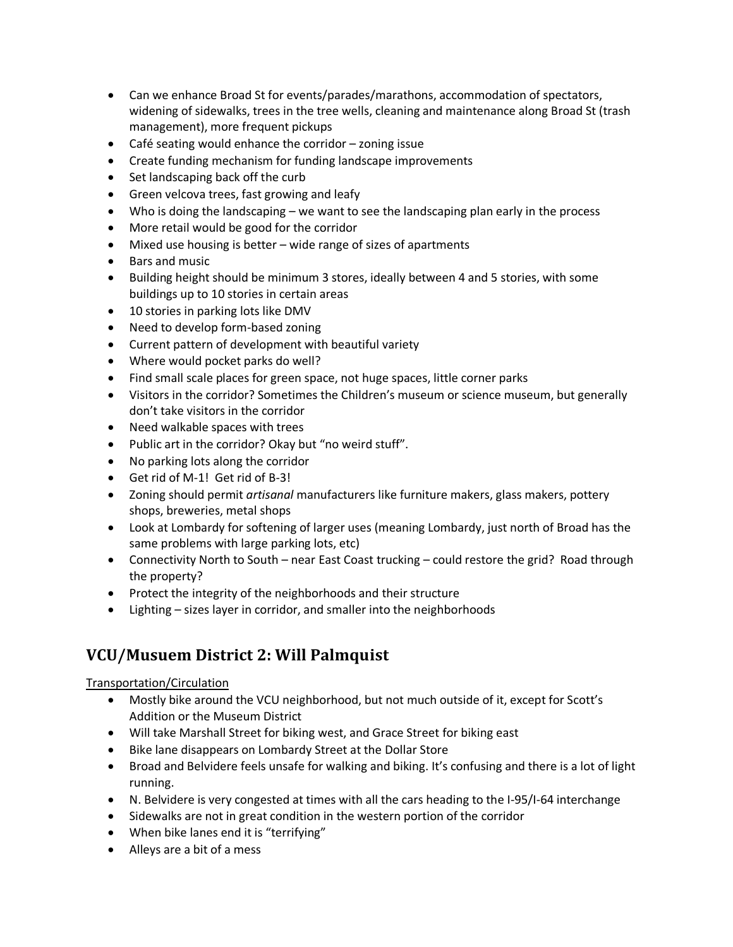- Can we enhance Broad St for events/parades/marathons, accommodation of spectators, widening of sidewalks, trees in the tree wells, cleaning and maintenance along Broad St (trash management), more frequent pickups
- Café seating would enhance the corridor zoning issue
- Create funding mechanism for funding landscape improvements
- Set landscaping back off the curb
- Green velcova trees, fast growing and leafy
- Who is doing the landscaping we want to see the landscaping plan early in the process
- More retail would be good for the corridor
- Mixed use housing is better wide range of sizes of apartments
- Bars and music
- Building height should be minimum 3 stores, ideally between 4 and 5 stories, with some buildings up to 10 stories in certain areas
- 10 stories in parking lots like DMV
- Need to develop form-based zoning
- Current pattern of development with beautiful variety
- Where would pocket parks do well?
- Find small scale places for green space, not huge spaces, little corner parks
- Visitors in the corridor? Sometimes the Children's museum or science museum, but generally don't take visitors in the corridor
- Need walkable spaces with trees
- Public art in the corridor? Okay but "no weird stuff".
- No parking lots along the corridor
- Get rid of M-1! Get rid of B-3!
- Zoning should permit *artisanal* manufacturers like furniture makers, glass makers, pottery shops, breweries, metal shops
- Look at Lombardy for softening of larger uses (meaning Lombardy, just north of Broad has the same problems with large parking lots, etc)
- Connectivity North to South near East Coast trucking could restore the grid? Road through the property?
- Protect the integrity of the neighborhoods and their structure
- Lighting sizes layer in corridor, and smaller into the neighborhoods

# **VCU/Musuem District 2: Will Palmquist**

### Transportation/Circulation

- Mostly bike around the VCU neighborhood, but not much outside of it, except for Scott's Addition or the Museum District
- Will take Marshall Street for biking west, and Grace Street for biking east
- Bike lane disappears on Lombardy Street at the Dollar Store
- Broad and Belvidere feels unsafe for walking and biking. It's confusing and there is a lot of light running.
- N. Belvidere is very congested at times with all the cars heading to the I-95/I-64 interchange
- Sidewalks are not in great condition in the western portion of the corridor
- When bike lanes end it is "terrifying"
- Alleys are a bit of a mess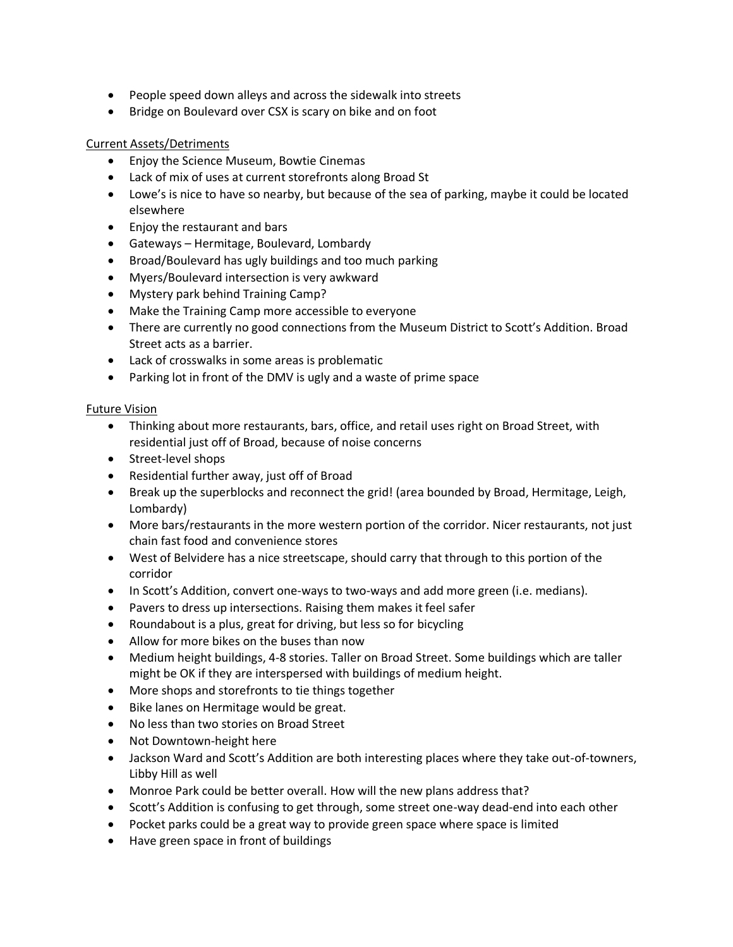- People speed down alleys and across the sidewalk into streets
- Bridge on Boulevard over CSX is scary on bike and on foot

#### Current Assets/Detriments

- Enjoy the Science Museum, Bowtie Cinemas
- Lack of mix of uses at current storefronts along Broad St
- Lowe's is nice to have so nearby, but because of the sea of parking, maybe it could be located elsewhere
- Enjoy the restaurant and bars
- Gateways Hermitage, Boulevard, Lombardy
- Broad/Boulevard has ugly buildings and too much parking
- Myers/Boulevard intersection is very awkward
- Mystery park behind Training Camp?
- Make the Training Camp more accessible to everyone
- There are currently no good connections from the Museum District to Scott's Addition. Broad Street acts as a barrier.
- Lack of crosswalks in some areas is problematic
- Parking lot in front of the DMV is ugly and a waste of prime space

#### Future Vision

- Thinking about more restaurants, bars, office, and retail uses right on Broad Street, with residential just off of Broad, because of noise concerns
- Street-level shops
- Residential further away, just off of Broad
- Break up the superblocks and reconnect the grid! (area bounded by Broad, Hermitage, Leigh, Lombardy)
- More bars/restaurants in the more western portion of the corridor. Nicer restaurants, not just chain fast food and convenience stores
- West of Belvidere has a nice streetscape, should carry that through to this portion of the corridor
- In Scott's Addition, convert one-ways to two-ways and add more green (i.e. medians).
- Pavers to dress up intersections. Raising them makes it feel safer
- Roundabout is a plus, great for driving, but less so for bicycling
- Allow for more bikes on the buses than now
- Medium height buildings, 4-8 stories. Taller on Broad Street. Some buildings which are taller might be OK if they are interspersed with buildings of medium height.
- More shops and storefronts to tie things together
- Bike lanes on Hermitage would be great.
- No less than two stories on Broad Street
- Not Downtown-height here
- Jackson Ward and Scott's Addition are both interesting places where they take out-of-towners, Libby Hill as well
- Monroe Park could be better overall. How will the new plans address that?
- Scott's Addition is confusing to get through, some street one-way dead-end into each other
- Pocket parks could be a great way to provide green space where space is limited
- Have green space in front of buildings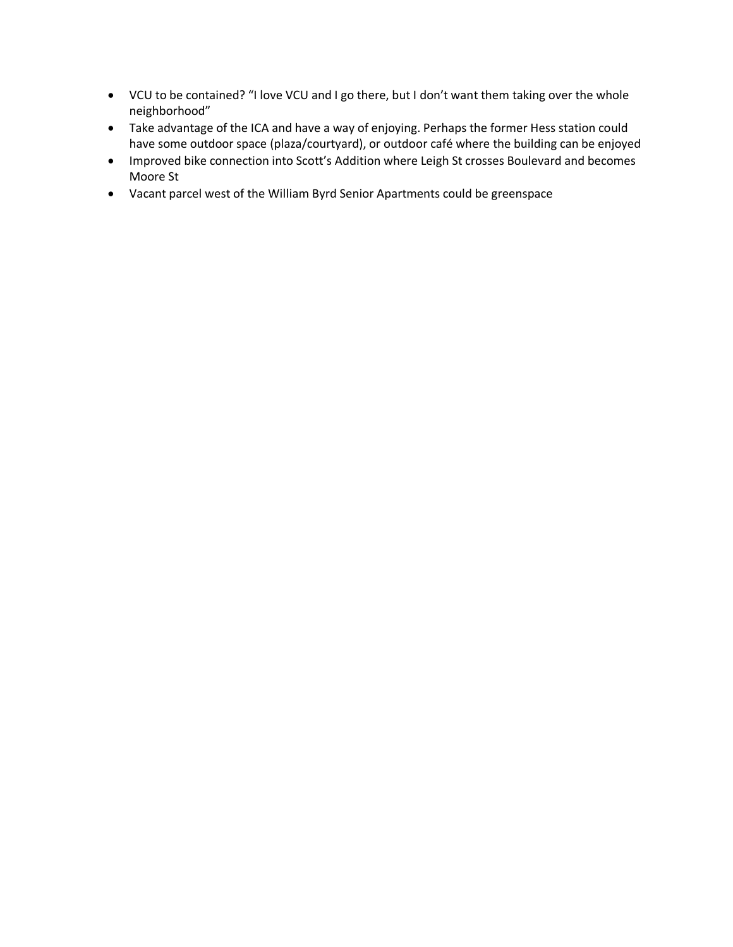- VCU to be contained? "I love VCU and I go there, but I don't want them taking over the whole neighborhood"
- Take advantage of the ICA and have a way of enjoying. Perhaps the former Hess station could have some outdoor space (plaza/courtyard), or outdoor café where the building can be enjoyed
- Improved bike connection into Scott's Addition where Leigh St crosses Boulevard and becomes Moore St
- Vacant parcel west of the William Byrd Senior Apartments could be greenspace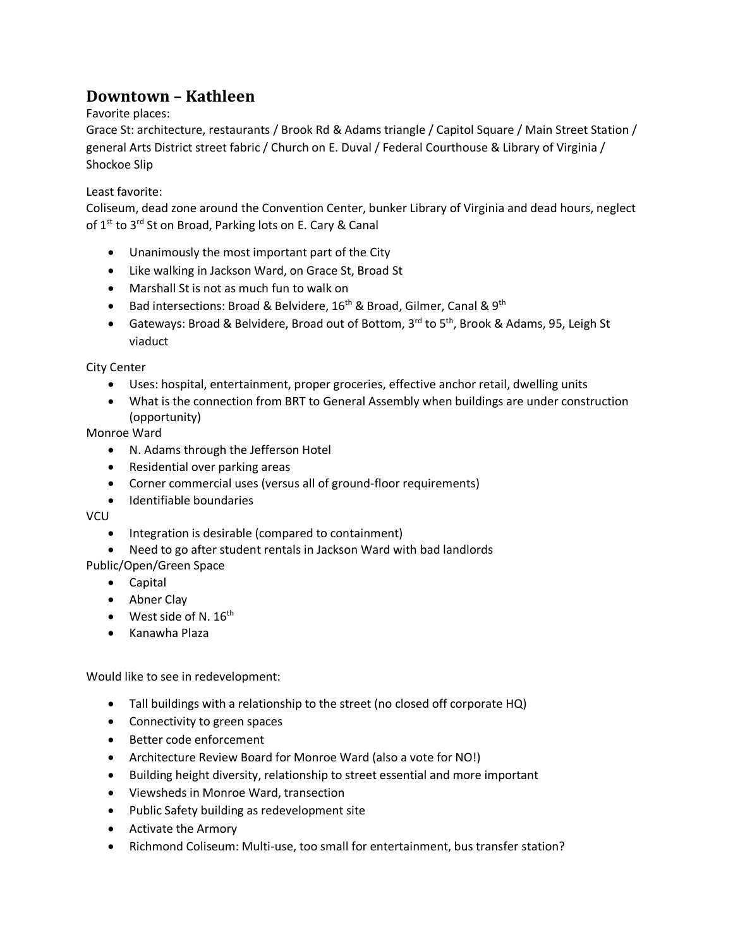# **Downtown – Kathleen**

### Favorite places:

Grace St: architecture, restaurants / Brook Rd & Adams triangle / Capitol Square / Main Street Station / general Arts District street fabric / Church on E. Duval / Federal Courthouse & Library of Virginia / Shockoe Slip

### Least favorite:

Coliseum, dead zone around the Convention Center, bunker Library of Virginia and dead hours, neglect of 1<sup>st</sup> to 3<sup>rd</sup> St on Broad, Parking lots on E. Cary & Canal

- Unanimously the most important part of the City
- Like walking in Jackson Ward, on Grace St, Broad St
- Marshall St is not as much fun to walk on
- Bad intersections: Broad & Belvidere,  $16<sup>th</sup>$  & Broad, Gilmer, Canal & 9<sup>th</sup>
- Gateways: Broad & Belvidere, Broad out of Bottom, 3<sup>rd</sup> to 5<sup>th</sup>, Brook & Adams, 95, Leigh St viaduct

City Center

- Uses: hospital, entertainment, proper groceries, effective anchor retail, dwelling units
- What is the connection from BRT to General Assembly when buildings are under construction (opportunity)

Monroe Ward

- N. Adams through the Jefferson Hotel
- Residential over parking areas
- Corner commercial uses (versus all of ground-floor requirements)
- Identifiable boundaries

VCU

- Integration is desirable (compared to containment)
- Need to go after student rentals in Jackson Ward with bad landlords

Public/Open/Green Space

- Capital
- Abner Clay
- $\bullet$  West side of N. 16<sup>th</sup>
- Kanawha Plaza

Would like to see in redevelopment:

- Tall buildings with a relationship to the street (no closed off corporate HQ)
- Connectivity to green spaces
- Better code enforcement
- Architecture Review Board for Monroe Ward (also a vote for NO!)
- Building height diversity, relationship to street essential and more important
- Viewsheds in Monroe Ward, transection
- Public Safety building as redevelopment site
- Activate the Armory
- Richmond Coliseum: Multi-use, too small for entertainment, bus transfer station?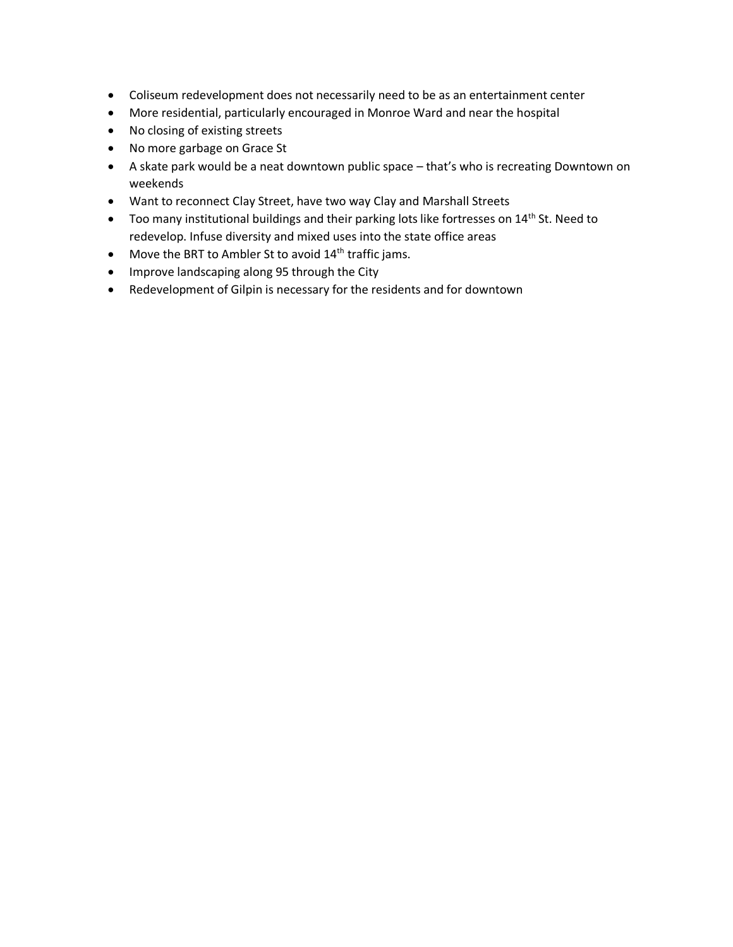- Coliseum redevelopment does not necessarily need to be as an entertainment center
- More residential, particularly encouraged in Monroe Ward and near the hospital
- No closing of existing streets
- No more garbage on Grace St
- A skate park would be a neat downtown public space that's who is recreating Downtown on weekends
- Want to reconnect Clay Street, have two way Clay and Marshall Streets
- $\bullet$  Too many institutional buildings and their parking lots like fortresses on 14<sup>th</sup> St. Need to redevelop. Infuse diversity and mixed uses into the state office areas
- Move the BRT to Ambler St to avoid  $14<sup>th</sup>$  traffic jams.
- Improve landscaping along 95 through the City
- Redevelopment of Gilpin is necessary for the residents and for downtown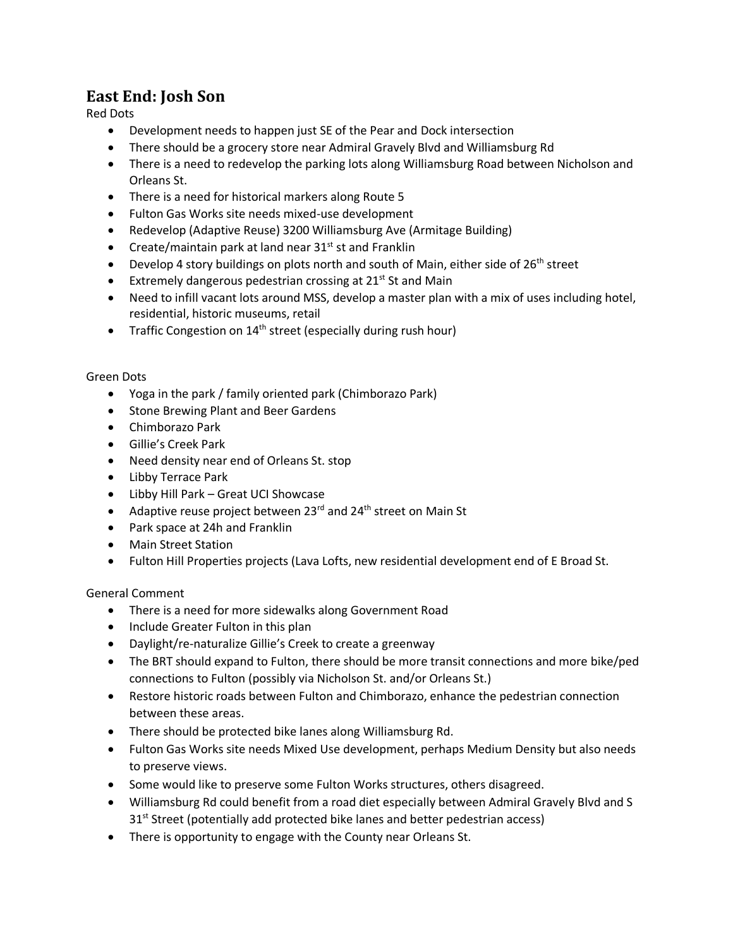## **East End: Josh Son**

Red Dots

- Development needs to happen just SE of the Pear and Dock intersection
- There should be a grocery store near Admiral Gravely Blvd and Williamsburg Rd
- There is a need to redevelop the parking lots along Williamsburg Road between Nicholson and Orleans St.
- There is a need for historical markers along Route 5
- Fulton Gas Works site needs mixed-use development
- Redevelop (Adaptive Reuse) 3200 Williamsburg Ave (Armitage Building)
- Create/maintain park at land near  $31<sup>st</sup>$  st and Franklin
- **•** Develop 4 story buildings on plots north and south of Main, either side of  $26<sup>th</sup>$  street
- Extremely dangerous pedestrian crossing at  $21^{st}$  St and Main
- Need to infill vacant lots around MSS, develop a master plan with a mix of uses including hotel, residential, historic museums, retail
- Traffic Congestion on  $14<sup>th</sup>$  street (especially during rush hour)

### Green Dots

- Yoga in the park / family oriented park (Chimborazo Park)
- Stone Brewing Plant and Beer Gardens
- Chimborazo Park
- Gillie's Creek Park
- Need density near end of Orleans St. stop
- Libby Terrace Park
- Libby Hill Park Great UCI Showcase
- Adaptive reuse project between  $23^{rd}$  and  $24^{th}$  street on Main St
- Park space at 24h and Franklin
- Main Street Station
- Fulton Hill Properties projects (Lava Lofts, new residential development end of E Broad St.

### General Comment

- There is a need for more sidewalks along Government Road
- Include Greater Fulton in this plan
- Daylight/re-naturalize Gillie's Creek to create a greenway
- The BRT should expand to Fulton, there should be more transit connections and more bike/ped connections to Fulton (possibly via Nicholson St. and/or Orleans St.)
- Restore historic roads between Fulton and Chimborazo, enhance the pedestrian connection between these areas.
- There should be protected bike lanes along Williamsburg Rd.
- Fulton Gas Works site needs Mixed Use development, perhaps Medium Density but also needs to preserve views.
- Some would like to preserve some Fulton Works structures, others disagreed.
- Williamsburg Rd could benefit from a road diet especially between Admiral Gravely Blvd and S  $31<sup>st</sup>$  Street (potentially add protected bike lanes and better pedestrian access)
- There is opportunity to engage with the County near Orleans St.